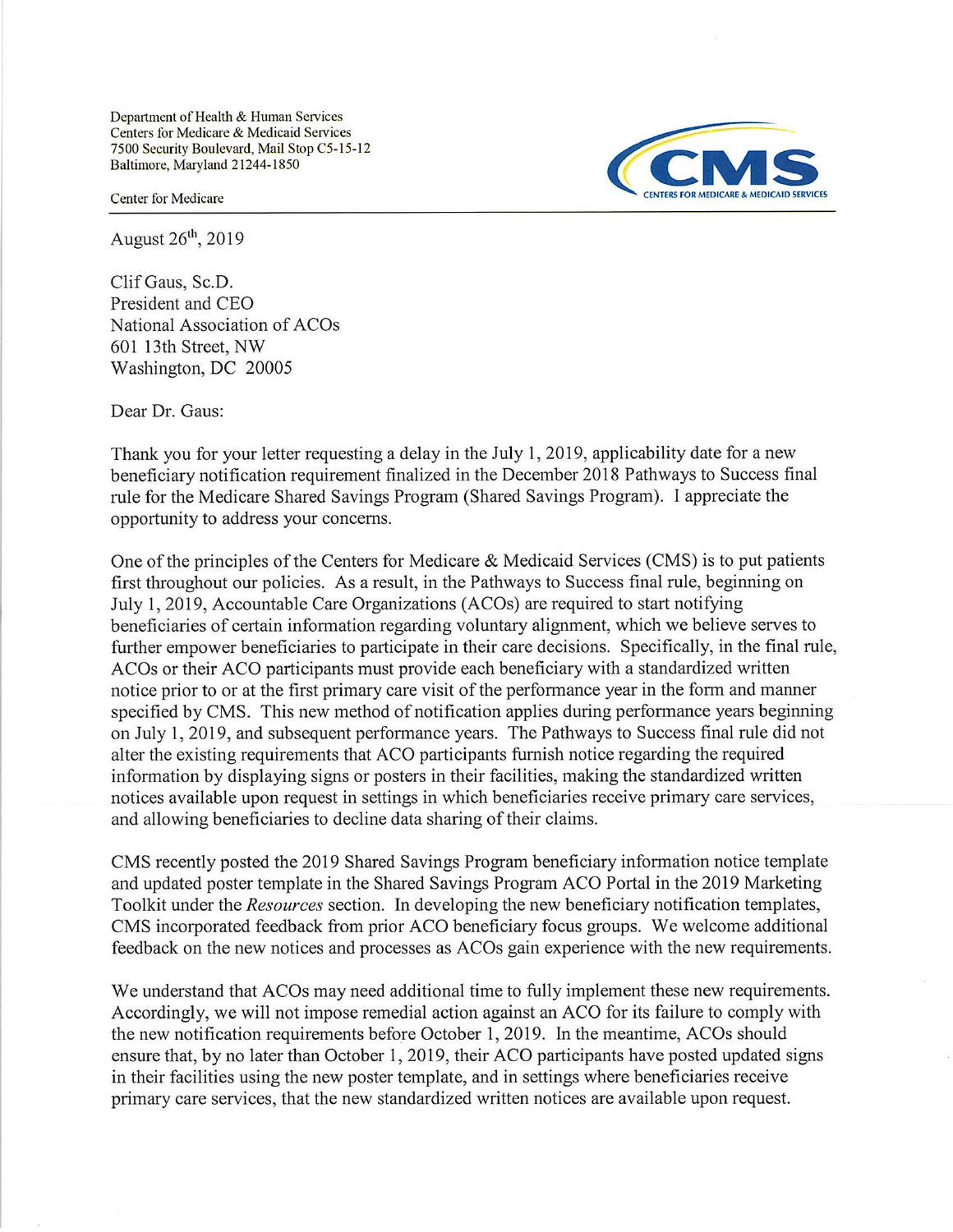Department of Health & Human Services Centers for Medicare & Medicaid Services 7500 Security Boulevard, Mail Stop C5-15-12 Baltimore, Maryland 21244-1850



August  $26<sup>th</sup>$ , 2019

Clif Gaus, Sc.D. President and CEO National Association of ACOs 601 l3th Street, NW Washington, DC 20005

Dear Dr. Gaus:

Thank you for your letter requesting a delay in the July 1, 2019, applicability date for a new beneficiary notification requirement finalized in the December 2018 Pathways to Success final rule for the Medicare Shared Savings Program (Shared Savings Program). I appreciate the opportunity to address your concerns.

One of the principles of the Centers for Medicare & Medicaid Services (CMS) is to put patients first throughout our policies. As a result, in the Pathways to Success final rule, beginning on July 1, 2019, Accountable Care Organizations (ACOs) are required to start notifying benefrciaries of certain information regarding voluntary alignment, which we believe serves to further empower beneficiaries to participate in their care decisions. Specifically, in the final rule, ACOs or their ACO participants must provide each beneficiary with a standardized written notice prior to or at the first primary care visit of the performance year in the form and manner specified by CMS. This new method of notification applies during performance years beginning on July 1,2019, and subsequent performance years. The Pathways to Success final rule did not alter the existing requirements that ACO participants furnish notice regarding the required information by displaying signs or posters in their facilities, making the standardized written notices available upon request in settings in which beneficiaries receive primary care services, and allowing beneficiaries to decline data sharing of their claims.

CMS recently posted the 2019 Shared Savings Program beneficiary information notice template and updated poster template in the Shared Savings Program ACO Portal in the 2019 Marketing Toolkit under the Resources section. In developing the new beneficiary notification templates, CMS incorporated feedback from prior ACO beneficiary focus groups. We welcome additional feedback on the new notices and processes as ACOs gain experience with the new requirements.

We understand that ACOs may need additional time to fully implement these new requirements. Accordingly, we will not impose remedial action against an ACO for its failure to comply with the new notification requirements before October 1,2019. In the meantime, ACOs should ensure that, by no later than October 1,2019, their ACO participants have posted updated signs in their facilities using the new poster template, and in settings where beneficiaries receive primary care services, that the new standardized written notices are available upon request.